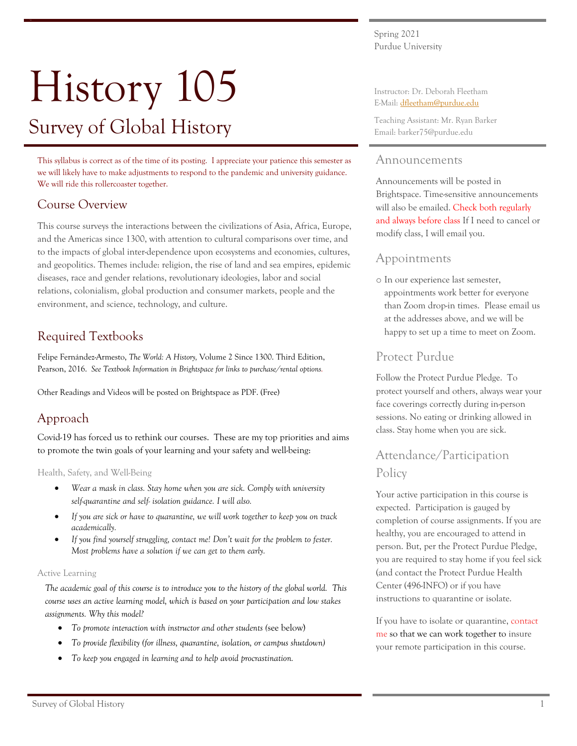Spring 2021 Purdue University

# History 105 Survey of Global History

This syllabus is correct as of the time of its posting. I appreciate your patience this semester as we will likely have to make adjustments to respond to the pandemic and university guidance. We will ride this rollercoaster together.

# Course Overview

This course surveys the interactions between the civilizations of Asia, Africa, Europe, and the Americas since 1300, with attention to cultural comparisons over time, and to the impacts of global inter-dependence upon ecosystems and economies, cultures, and geopolitics. Themes include: religion, the rise of land and sea empires, epidemic diseases, race and gender relations, revolutionary ideologies, labor and social relations, colonialism, global production and consumer markets, people and the environment, and science, technology, and culture.

# Required Textbooks

Felipe Fernández-Armesto, *The World: A History,* Volume 2 Since 1300. Third Edition, Pearson, 2016. *See Textbook Information in Brightspace for links to purchase/rental options.* 

Other Readings and Videos will be posted on Brightspace as PDF. (Free)

# Approach

Covid-19 has forced us to rethink our courses. These are my top priorities and aims to promote the twin goals of your learning and your safety and well-being:

Health, Safety, and Well-Being

- *Wear a mask in class. Stay home when you are sick. Comply with university self-quarantine and self- isolation guidance. I will also.*
- *If you are sick or have to quarantine, we will work together to keep you on track academically.*
- *If you find yourself struggling, contact me! Don't wait for the problem to fester. Most problems have a solution if we can get to them early.*

## Active Learning

*The academic goal of this course is to introduce you to the history of the global world. This course uses an active learning model, which is based on your participation and low stakes assignments. Why this model?*

- *To promote interaction with instructor and other students (*see below)
- *To provide flexibility (for illness, quarantine, isolation, or campus shutdown)*
- *To keep you engaged in learning and to help avoid procrastination.*

Instructor: Dr. Deborah Fleetham E-Mail: dfleetham@purdue.edu

Teaching Assistant: Mr. Ryan Barker Email: barker75@purdue.edu

## Announcements

Announcements will be posted in Brightspace. Time-sensitive announcements will also be emailed. Check both regularly and always before class If I need to cancel or modify class, I will email you.

## Appointments

o In our experience last semester, appointments work better for everyone than Zoom drop-in times. Please email us at the addresses above, and we will be happy to set up a time to meet on Zoom.

## Protect Purdue

Follow the Protect Purdue Pledge. To protect yourself and others, always wear your face coverings correctly during in-person sessions. No eating or drinking allowed in class. Stay home when you are sick.

# Attendance/Participation Policy

Your active participation in this course is expected. Participation is gauged by completion of course assignments. If you are healthy, you are encouraged to attend in person. But, per the Protect Purdue Pledge, you are required to stay home if you feel sick (and contact the Protect Purdue Health Center (496-INFO) or if you have instructions to quarantine or isolate.

If you have to isolate or quarantine, contact me so that we can work together to insure your remote participation in this course.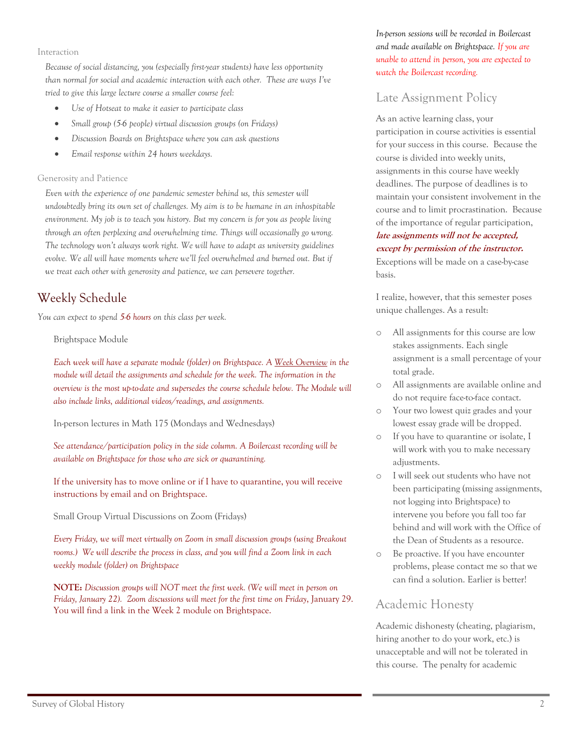Interaction

*Because of social distancing, you (especially first-year students) have less opportunity than normal for social and academic interaction with each other. These are ways I've tried to give this large lecture course a smaller course feel:*

- *Use of Hotseat to make it easier to participate class*
- *Small group (5-6 people) virtual discussion groups (on Fridays)*
- *Discussion Boards on Brightspace where you can ask questions*
- *Email response within 24 hours weekdays.*

#### Generosity and Patience

*Even with the experience of one pandemic semester behind us, this semester will undoubtedly bring its own set of challenges. My aim is to be humane in an inhospitable environment. My job is to teach you history. But my concern is for you as people living through an often perplexing and overwhelming time. Things will occasionally go wrong. The technology won't always work right. We will have to adapt as university guidelines evolve. We all will have moments where we'll feel overwhelmed and burned out. But if we treat each other with generosity and patience, we can persevere together.* 

# Weekly Schedule

*You can expect to spend 5-6 hours on this class per week.* 

Brightspace Module

*Each week will have a separate module (folder) on Brightspace. A Week Overview in the module will detail the assignments and schedule for the week. The information in the overview is the most up-to-date and supersedes the course schedule below. The Module will also include links, additional videos/readings, and assignments.* 

In-person lectures in Math 175 (Mondays and Wednesdays)

*See attendance/participation policy in the side column. A Boilercast recording will be available on Brightspace for those who are sick or quarantining.* 

If the university has to move online or if I have to quarantine, you will receive instructions by email and on Brightspace.

Small Group Virtual Discussions on Zoom (Fridays)

*Every Friday, we will meet virtually on Zoom in small discussion groups (using Breakout rooms.) We will describe the process in class, and you will find a Zoom link in each weekly module (folder) on Brightspace*

**NOTE:** *Discussion groups will NOT meet the first week. (We will meet in person on Friday, January 22). Zoom discussions will meet for the first time on Friday*, January 29. You will find a link in the Week 2 module on Brightspace.

*In-person sessions will be recorded in Boilercast and made available on Brightspace. If you are unable to attend in person, you are expected to watch the Boilercast recording.*

# Late Assignment Policy

As an active learning class, your participation in course activities is essential for your success in this course. Because the course is divided into weekly units, assignments in this course have weekly deadlines. The purpose of deadlines is to maintain your consistent involvement in the course and to limit procrastination. Because of the importance of regular participation, **late assignments will not be accepted,** 

#### **except by permission of the instructor.**

Exceptions will be made on a case-by-case basis.

I realize, however, that this semester poses unique challenges. As a result:

- o All assignments for this course are low stakes assignments. Each single assignment is a small percentage of your total grade.
- o All assignments are available online and do not require face-to-face contact.
- o Your two lowest quiz grades and your lowest essay grade will be dropped.
- o If you have to quarantine or isolate, I will work with you to make necessary adjustments.
- o I will seek out students who have not been participating (missing assignments, not logging into Brightspace) to intervene you before you fall too far behind and will work with the Office of the Dean of Students as a resource.
- o Be proactive. If you have encounter problems, please contact me so that we can find a solution. Earlier is better!

## Academic Honesty

Academic dishonesty (cheating, plagiarism, hiring another to do your work, etc.) is unacceptable and will not be tolerated in this course. The penalty for academic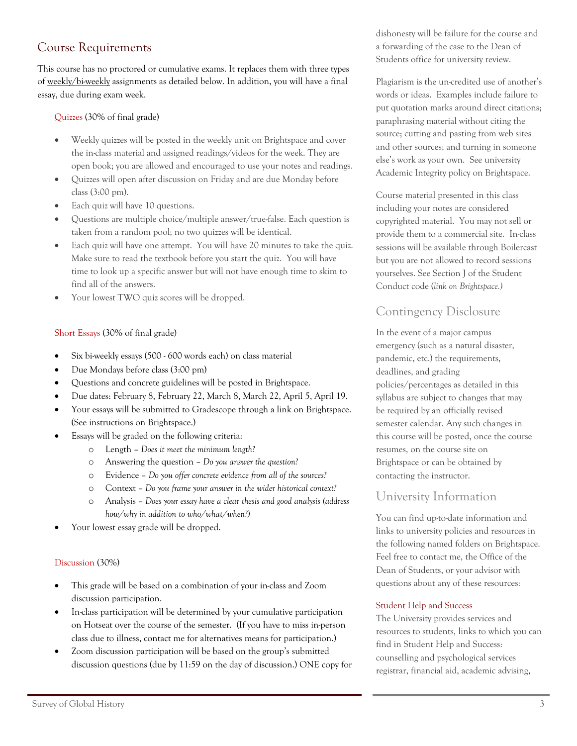# Course Requirements

This course has no proctored or cumulative exams. It replaces them with three types of weekly/bi-weekly assignments as detailed below. In addition, you will have a final essay, due during exam week.

## Quizzes (30% of final grade)

- Weekly quizzes will be posted in the weekly unit on Brightspace and cover the in-class material and assigned readings/videos for the week. They are open book; you are allowed and encouraged to use your notes and readings.
- Quizzes will open after discussion on Friday and are due Monday before class (3:00 pm).
- Each quiz will have 10 questions.
- Questions are multiple choice/multiple answer/true-false. Each question is taken from a random pool; no two quizzes will be identical.
- Each quiz will have one attempt. You will have 20 minutes to take the quiz. Make sure to read the textbook before you start the quiz. You will have time to look up a specific answer but will not have enough time to skim to find all of the answers.
- Your lowest TWO quiz scores will be dropped.

## Short Essays (30% of final grade)

- Six bi-weekly essays (500 600 words each) on class material
- Due Mondays before class (3:00 pm)
- Questions and concrete guidelines will be posted in Brightspace.
- Due dates: February 8, February 22, March 8, March 22, April 5, April 19.
- Your essays will be submitted to Gradescope through a link on Brightspace. (See instructions on Brightspace.)
- Essays will be graded on the following criteria:
	- o Length *Does it meet the minimum length?*
	- o Answering the question *Do you answer the question?*
	- o Evidence *Do you offer concrete evidence from all of the sources?*
	- o Context *Do you frame your answer in the wider historical context?*
	- o Analysis *Does your essay have a clear thesis and good analysis (address how/why in addition to who/what/when?)*
- Your lowest essay grade will be dropped.

#### Discussion (30%)

- This grade will be based on a combination of your in-class and Zoom discussion participation.
- In-class participation will be determined by your cumulative participation on Hotseat over the course of the semester. (If you have to miss in-person class due to illness, contact me for alternatives means for participation.)
- Zoom discussion participation will be based on the group's submitted discussion questions (due by 11:59 on the day of discussion.) ONE copy for

dishonesty will be failure for the course and a forwarding of the case to the Dean of Students office for university review.

Plagiarism is the un-credited use of another's words or ideas. Examples include failure to put quotation marks around direct citations; paraphrasing material without citing the source; cutting and pasting from web sites and other sources; and turning in someone else's work as your own. See university Academic Integrity policy on Brightspace.

Course material presented in this class including your notes are considered copyrighted material. You may not sell or provide them to a commercial site. In-class sessions will be available through Boilercast but you are not allowed to record sessions yourselves. See Section J of the Student Conduct code (*link on Brightspace.)* 

## Contingency Disclosure

In the event of a major campus emergency (such as a natural disaster, pandemic, etc.) the requirements, deadlines, and grading policies/percentages as detailed in this syllabus are subject to changes that may be required by an officially revised semester calendar. Any such changes in this course will be posted, once the course resumes, on the course site on Brightspace or can be obtained by contacting the instructor.

## University Information

You can find up-to-date information and links to university policies and resources in the following named folders on Brightspace. Feel free to contact me, the Office of the Dean of Students, or your advisor with questions about any of these resources:

#### Student Help and Success

The University provides services and resources to students, links to which you can find in Student Help and Success: counselling and psychological services registrar, financial aid, academic advising,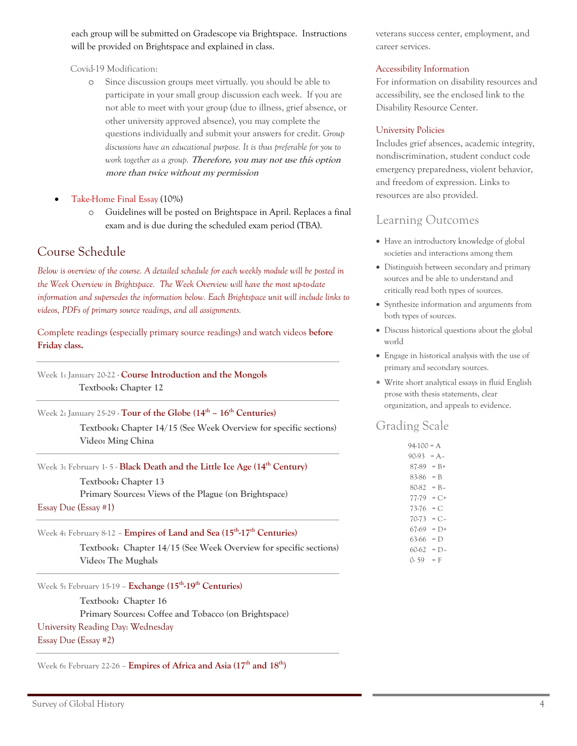each group will be submitted on Gradescope via Brightspace. Instructions will be provided on Brightspace and explained in class.

Covid-19 Modification:

- o Since discussion groups meet virtually. you should be able to participate in your small group discussion each week. If you are not able to meet with your group (due to illness, grief absence, or other university approved absence), you may complete the questions individually and submit your answers for credit. *Group discussions have an educational purpose. It is thus preferable for you to work together as a group.* **Therefore, you may not use this option more than twice without my permission**
- Take-Home Final Essay (10%)
	- o Guidelines will be posted on Brightspace in April. Replaces a final exam and is due during the scheduled exam period (TBA).

# Course Schedule

*Below is overview of the course. A detailed schedule for each weekly module will be posted in the Week Overview in Brightspace. The Week Overview will have the most up-to-date information and supersedes the information below. Each Brightspace unit will include links to videos, PDFs of primary source readings, and all assignments.* 

Complete readings (especially primary source readings) and watch videos **before Friday class.** 

**Week 1: January 20-22 - Course Introduction and the Mongols Textbook: Chapter 12** 

**Week 2: January 25-29 - Tour of the Globe (14th – 16th Centuries)**

 **Textbook: Chapter 14/15 (See Week Overview for specific sections) Video: Ming China** 

**Week 3: February 1- 5 - Black Death and the Little Ice Age (14th Century)**

 **Textbook: Chapter 13 Primary Sources: Views of the Plague (on Brightspace)** Essay Due (Essay #1)

**Week 4: February 8-12 – Empires of Land and Sea (15th-17th Centuries)**

 **Textbook: Chapter 14/15 (See Week Overview for specific sections) Video: The Mughals** 

**Week 5: February 15-19 – Exchange (15th-19th Centuries)** 

 **Textbook: Chapter 16 Primary Sources: Coffee and Tobacco (on Brightspace)** University Reading Day: Wednesday Essay Due (Essay #2)

**Week 6: February 22-26 – Empires of Africa and Asia (17th and 18th)**

veterans success center, employment, and career services.

#### Accessibility Information

For information on disability resources and accessibility, see the enclosed link to the Disability Resource Center.

#### University Policies

Includes grief absences, academic integrity, nondiscrimination, student conduct code emergency preparedness, violent behavior, and freedom of expression. Links to resources are also provided.

## Learning Outcomes

- Have an introductory knowledge of global societies and interactions among them
- Distinguish between secondary and primary sources and be able to understand and critically read both types of sources.
- Synthesize information and arguments from both types of sources.
- Discuss historical questions about the global world
- Engage in historical analysis with the use of primary and secondary sources.
- Write short analytical essays in fluid English prose with thesis statements, clear organization, and appeals to evidence.

## Grading Scale

| 94-100<br>$= A$ |         |
|-----------------|---------|
| 90-93           | = A-    |
| 87-89           | $= B +$ |
| 83-86           | = B     |
| 80-82           | $= B -$ |
| 77-79           | $= C +$ |
| 73-76           | $= C$   |
| 70-73           | $= C -$ |
| 67-69           | = D+    |
| 63-66           | $= D$   |
| 60-62           | = D-    |
| O- 59           | = F     |